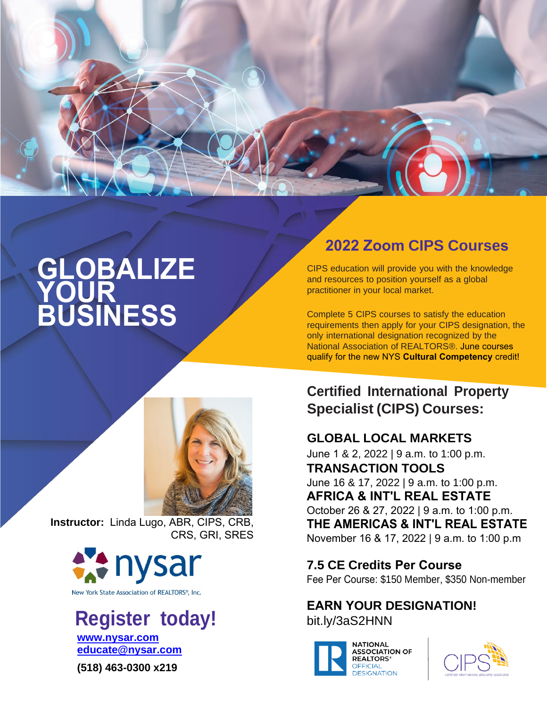

# **GLOBALIZE YOUR BUSINESS**



**Instructor:** Linda Lugo, ABR, CIPS, CRB, CRS, GRI, SRES



New York State Association of REALTORS®, Inc.

## **Register today! [www.nysar.com](http://www.nysar.com/) [educate@nysar.com](mailto:educate@nysar.com)**

**(518) 463-0300 x219**

# **2022 Zoom CIPS Courses**

CIPS education will provide you with the knowledge and resources to position yourself as a global practitioner in your local market.

Complete 5 CIPS courses to satisfy the education requirements then apply for your CIPS designation, the only international designation recognized by the National Association of REALTORS®. June courses qualify for the new NYS **Cultural Competency** credit!

# **Certified International Property Specialist (CIPS) Courses:**

## **GLOBAL LOCAL MARKETS**

June 1 & 2, 2022 | 9 a.m. to 1:00 p.m. **TRANSACTION TOOLS** June 16 & 17, 2022 | 9 a.m. to 1:00 p.m. **AFRICA & INT'L REAL ESTATE** October 26 & 27, 2022 | 9 a.m. to 1:00 p.m. **THE AMERICAS & INT'L REAL ESTATE** November 16 & 17, 2022 | 9 a.m. to 1:00 p.m

#### **7.5 CE Credits Per Course**

Fee Per Course: \$150 Member, \$350 Non-member

#### **EARN YOUR DESIGNATION!** [bit.ly/3aS2HNN](https://www.nar.realtor/education/designations-and-certifications/certified-international-property-specialist-cips)